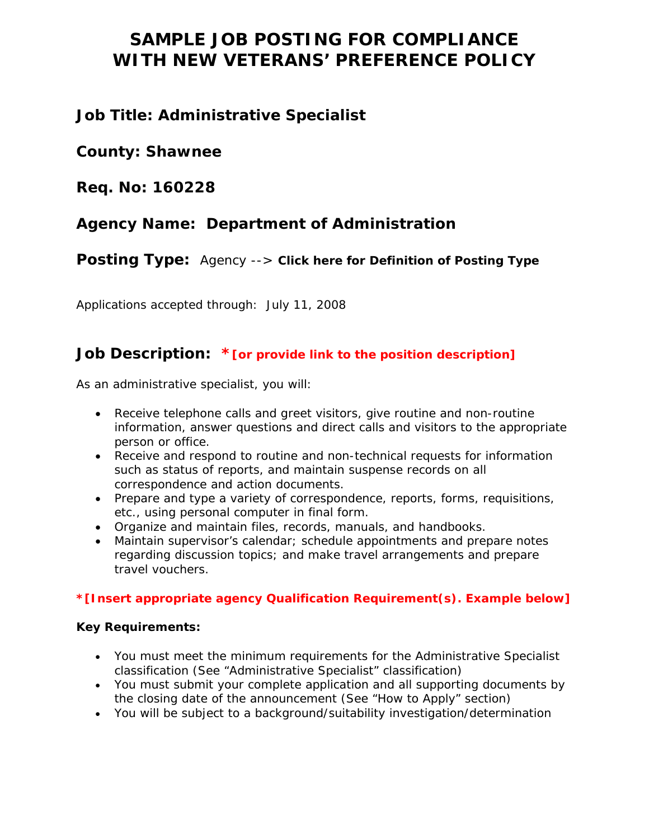# **SAMPLE JOB POSTING FOR COMPLIANCE WITH NEW VETERANS' PREFERENCE POLICY**

# **Job Title: Administrative Specialist**

**County: Shawnee** 

**Req. No: 160228** 

# **Agency Name: Department of Administration**

**Posting Type:** Agency --> **Click here for Definition of Posting Type** 

Applications accepted through: July 11, 2008

# **Job Description: \*[or provide link to the position description]**

As an administrative specialist, you will:

- Receive telephone calls and greet visitors, give routine and non-routine information, answer questions and direct calls and visitors to the appropriate person or office.
- Receive and respond to routine and non-technical requests for information such as status of reports, and maintain suspense records on all correspondence and action documents.
- Prepare and type a variety of correspondence, reports, forms, requisitions, etc., using personal computer in final form.
- Organize and maintain files, records, manuals, and handbooks.
- Maintain supervisor's calendar; schedule appointments and prepare notes regarding discussion topics; and make travel arrangements and prepare travel vouchers.

# **\*[Insert appropriate agency Qualification Requirement(s). Example below]**

## **Key Requirements:**

- You must meet the minimum requirements for the Administrative Specialist classification (See "Administrative Specialist" classification)
- You must submit your complete application and all supporting documents by the closing date of the announcement (See "How to Apply" section)
- You will be subject to a background/suitability investigation/determination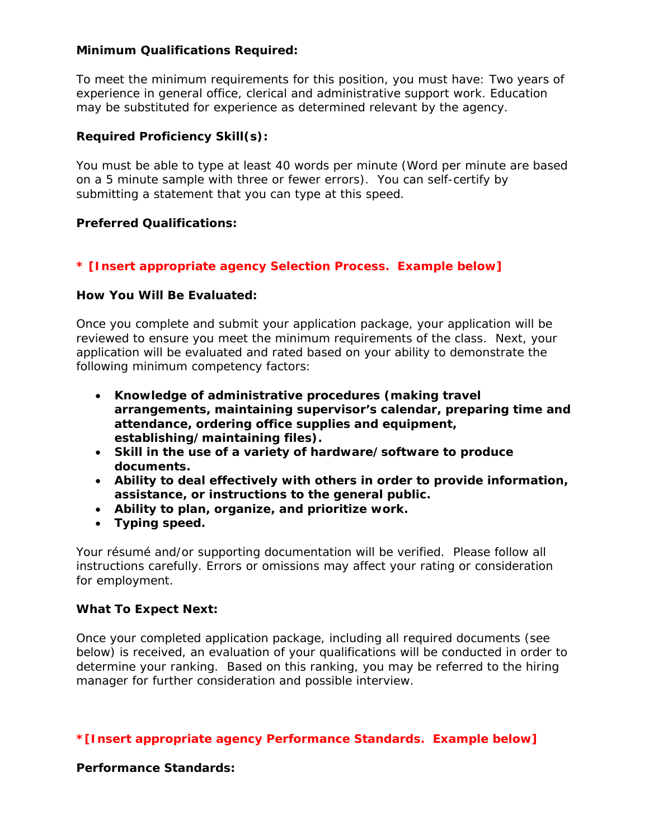#### **Minimum Qualifications Required:**

To meet the minimum requirements for this position, you must have: Two years of experience in general office, clerical and administrative support work. Education may be substituted for experience as determined relevant by the agency.

#### **Required Proficiency Skill(s):**

You must be able to type at least 40 words per minute (Word per minute are based on a 5 minute sample with three or fewer errors). You can self-certify by submitting a statement that you can type at this speed.

#### **Preferred Qualifications:**

## **\* [Insert appropriate agency Selection Process. Example below]**

#### **How You Will Be Evaluated:**

Once you complete and submit your application package, your application will be reviewed to ensure you meet the minimum requirements of the class. Next, your application will be evaluated and rated based on your ability to demonstrate the following minimum competency factors:

- **Knowledge of administrative procedures (making travel arrangements, maintaining supervisor's calendar, preparing time and attendance, ordering office supplies and equipment, establishing/maintaining files).**
- **Skill in the use of a variety of hardware/software to produce documents.**
- **Ability to deal effectively with others in order to provide information, assistance, or instructions to the general public.**
- **Ability to plan, organize, and prioritize work.**
- **Typing speed.**

Your résumé and/or supporting documentation will be verified. Please follow all instructions carefully. Errors or omissions may affect your rating or consideration for employment.

#### **What To Expect Next:**

Once your completed application package, including all required documents (see below) is received, an evaluation of your qualifications will be conducted in order to determine your ranking. Based on this ranking, you may be referred to the hiring manager for further consideration and possible interview.

## **\*[Insert appropriate agency Performance Standards. Example below]**

**Performance Standards:**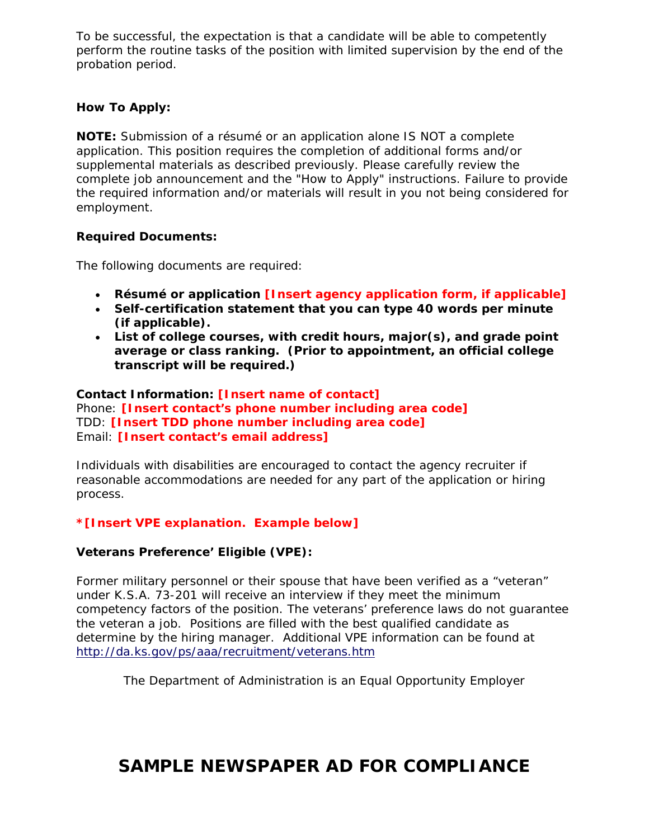To be successful, the expectation is that a candidate will be able to competently perform the routine tasks of the position with limited supervision by the end of the probation period.

# **How To Apply:**

**NOTE:** Submission of a résumé or an application alone IS NOT a complete application. This position requires the completion of additional forms and/or supplemental materials as described previously. Please carefully review the complete job announcement and the "How to Apply" instructions. Failure to provide the required information and/or materials will result in you not being considered for employment.

## **Required Documents:**

The following documents are required:

- **Résumé or application [Insert agency application form, if applicable]**
- **Self-certification statement that you can type 40 words per minute (if applicable).**
- **List of college courses, with credit hours, major(s), and grade point average or class ranking. (Prior to appointment, an official college transcript will be required.)**

#### **Contact Information: [Insert name of contact]** Phone: **[Insert contact's phone number including area code]**  TDD: **[Insert TDD phone number including area code]**  Email: **[Insert contact's email address]**

Individuals with disabilities are encouraged to contact the agency recruiter if reasonable accommodations are needed for any part of the application or hiring process.

## **\*[Insert VPE explanation. Example below]**

## **Veterans Preference' Eligible (VPE):**

Former military personnel or their spouse that have been verified as a "veteran" under K.S.A. 73-201 will receive an interview if they meet the minimum competency factors of the position. The veterans' preference laws do not guarantee the veteran a job. Positions are filled with the best qualified candidate as determine by the hiring manager. Additional VPE information can be found at http://da.ks.gov/ps/aaa/recruitment/veterans.htm

The Department of Administration is an Equal Opportunity Employer

# **SAMPLE NEWSPAPER AD FOR COMPLIANCE**